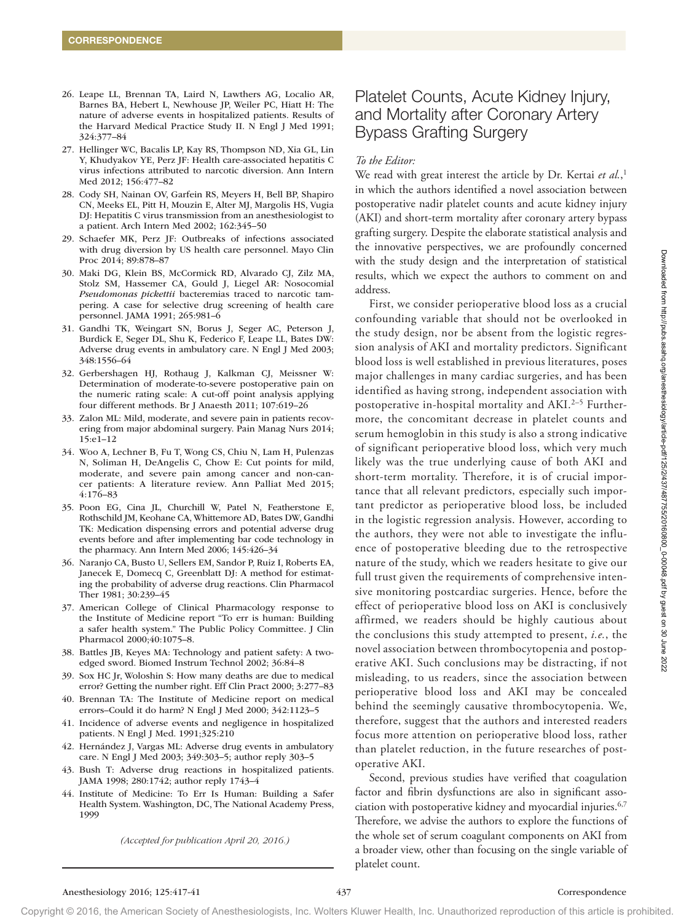- 26. Leape LL, Brennan TA, Laird N, Lawthers AG, Localio AR, Barnes BA, Hebert L, Newhouse JP, Weiler PC, Hiatt H: The nature of adverse events in hospitalized patients. Results of the Harvard Medical Practice Study II. N Engl J Med 1991; 324:377–84
- 27. Hellinger WC, Bacalis LP, Kay RS, Thompson ND, Xia GL, Lin Y, Khudyakov YE, Perz JF: Health care-associated hepatitis C virus infections attributed to narcotic diversion. Ann Intern Med 2012; 156:477–82
- 28. Cody SH, Nainan OV, Garfein RS, Meyers H, Bell BP, Shapiro CN, Meeks EL, Pitt H, Mouzin E, Alter MJ, Margolis HS, Vugia DJ: Hepatitis C virus transmission from an anesthesiologist to a patient. Arch Intern Med 2002; 162:345–50
- 29. Schaefer MK, Perz JF: Outbreaks of infections associated with drug diversion by US health care personnel. Mayo Clin Proc 2014; 89:878–87
- 30. Maki DG, Klein BS, McCormick RD, Alvarado CJ, Zilz MA, Stolz SM, Hassemer CA, Gould J, Liegel AR: Nosocomial *Pseudomonas pickettii* bacteremias traced to narcotic tampering. A case for selective drug screening of health care personnel. JAMA 1991; 265:981–6
- 31. Gandhi TK, Weingart SN, Borus J, Seger AC, Peterson J, Burdick E, Seger DL, Shu K, Federico F, Leape LL, Bates DW: Adverse drug events in ambulatory care. N Engl J Med 2003; 348:1556–64
- 32. Gerbershagen HJ, Rothaug J, Kalkman CJ, Meissner W: Determination of moderate-to-severe postoperative pain on the numeric rating scale: A cut-off point analysis applying four different methods. Br J Anaesth 2011; 107:619–26
- 33. Zalon ML: Mild, moderate, and severe pain in patients recovering from major abdominal surgery. Pain Manag Nurs 2014; 15:e1–12
- 34. Woo A, Lechner B, Fu T, Wong CS, Chiu N, Lam H, Pulenzas N, Soliman H, DeAngelis C, Chow E: Cut points for mild, moderate, and severe pain among cancer and non-cancer patients: A literature review. Ann Palliat Med 2015; 4:176–83
- 35. Poon EG, Cina JL, Churchill W, Patel N, Featherstone E, Rothschild JM, Keohane CA, Whittemore AD, Bates DW, Gandhi TK: Medication dispensing errors and potential adverse drug events before and after implementing bar code technology in the pharmacy. Ann Intern Med 2006; 145:426–34
- 36. Naranjo CA, Busto U, Sellers EM, Sandor P, Ruiz I, Roberts EA, Janecek E, Domecq C, Greenblatt DJ: A method for estimating the probability of adverse drug reactions. Clin Pharmacol Ther 1981; 30:239–45
- 37. American College of Clinical Pharmacology response to the Institute of Medicine report "To err is human: Building a safer health system." The Public Policy Committee. J Clin Pharmacol 2000;40:1075–8.
- 38. Battles JB, Keyes MA: Technology and patient safety: A twoedged sword. Biomed Instrum Technol 2002; 36:84–8
- 39. Sox HC Jr, Woloshin S: How many deaths are due to medical error? Getting the number right. Eff Clin Pract 2000; 3:277–83
- 40. Brennan TA: The Institute of Medicine report on medical errors–Could it do harm? N Engl J Med 2000; 342:1123–5
- 41. Incidence of adverse events and negligence in hospitalized patients. N Engl J Med. 1991;325:210
- 42. Hernández J, Vargas ML: Adverse drug events in ambulatory care. N Engl J Med 2003; 349:303–5; author reply 303–5
- 43. Bush T: Adverse drug reactions in hospitalized patients. JAMA 1998; 280:1742; author reply 1743–4
- 44. Institute of Medicine: To Err Is Human: Building a Safer Health System. Washington, DC, The National Academy Press, 1999

*(Accepted for publication April 20, 2016.)* 

# Platelet Counts, Acute Kidney Injury, and Mortality after Coronary Artery Bypass Grafting Surgery

## *To the Editor:*

We read with great interest the article by Dr. Kertai *et al.*, 1 in which the authors identified a novel association between postoperative nadir platelet counts and acute kidney injury (AKI) and short-term mortality after coronary artery bypass grafting surgery. Despite the elaborate statistical analysis and the innovative perspectives, we are profoundly concerned with the study design and the interpretation of statistical results, which we expect the authors to comment on and address.

First, we consider perioperative blood loss as a crucial confounding variable that should not be overlooked in the study design, nor be absent from the logistic regression analysis of AKI and mortality predictors. Significant blood loss is well established in previous literatures, poses major challenges in many cardiac surgeries, and has been identified as having strong, independent association with postoperative in-hospital mortality and AKI.<sup>2–5</sup> Furthermore, the concomitant decrease in platelet counts and serum hemoglobin in this study is also a strong indicative of significant perioperative blood loss, which very much likely was the true underlying cause of both AKI and short-term mortality. Therefore, it is of crucial importance that all relevant predictors, especially such important predictor as perioperative blood loss, be included in the logistic regression analysis. However, according to the authors, they were not able to investigate the influence of postoperative bleeding due to the retrospective nature of the study, which we readers hesitate to give our full trust given the requirements of comprehensive intensive monitoring postcardiac surgeries. Hence, before the effect of perioperative blood loss on AKI is conclusively affirmed, we readers should be highly cautious about the conclusions this study attempted to present, *i.e.*, the novel association between thrombocytopenia and postoperative AKI. Such conclusions may be distracting, if not misleading, to us readers, since the association between perioperative blood loss and AKI may be concealed behind the seemingly causative thrombocytopenia. We, therefore, suggest that the authors and interested readers focus more attention on perioperative blood loss, rather than platelet reduction, in the future researches of postoperative AKI.

Second, previous studies have verified that coagulation factor and fibrin dysfunctions are also in significant association with postoperative kidney and myocardial injuries.<sup>6,7</sup> Therefore, we advise the authors to explore the functions of the whole set of serum coagulant components on AKI from a broader view, other than focusing on the single variable of platelet count.

Copyright © 2016, the American Society of Anesthesiologists, Inc. Wolters Kluwer Health, Inc. Unauthorized reproduction of this article is prohibited.